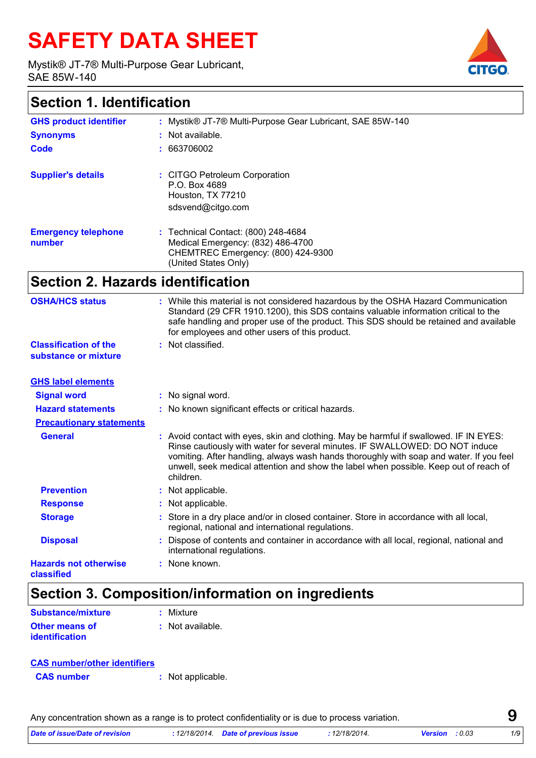# **SAFETY DATA SHEET**

Mystik® JT-7® Multi-Purpose Gear Lubricant, SAE 85W-140



| <b>GHS product identifier</b>        | : Mystik® JT-7® Multi-Purpose Gear Lubricant, SAE 85W-140                                                                              |
|--------------------------------------|----------------------------------------------------------------------------------------------------------------------------------------|
| <b>Synonyms</b>                      | : Not available.                                                                                                                       |
| Code                                 | : 663706002                                                                                                                            |
| <b>Supplier's details</b>            | : CITGO Petroleum Corporation<br>P.O. Box 4689<br>Houston, TX 77210<br>sdsvend@citgo.com                                               |
| <b>Emergency telephone</b><br>number | : Technical Contact: (800) 248-4684<br>Medical Emergency: (832) 486-4700<br>CHEMTREC Emergency: (800) 424-9300<br>(United States Only) |

### **Section 2. Hazards identification**

| <b>OSHA/HCS status</b>                               | While this material is not considered hazardous by the OSHA Hazard Communication<br>Standard (29 CFR 1910.1200), this SDS contains valuable information critical to the<br>safe handling and proper use of the product. This SDS should be retained and available<br>for employees and other users of this product.                                                     |
|------------------------------------------------------|-------------------------------------------------------------------------------------------------------------------------------------------------------------------------------------------------------------------------------------------------------------------------------------------------------------------------------------------------------------------------|
| <b>Classification of the</b><br>substance or mixture | : Not classified.                                                                                                                                                                                                                                                                                                                                                       |
| <b>GHS label elements</b>                            |                                                                                                                                                                                                                                                                                                                                                                         |
| <b>Signal word</b>                                   | : No signal word.                                                                                                                                                                                                                                                                                                                                                       |
| <b>Hazard statements</b>                             | : No known significant effects or critical hazards.                                                                                                                                                                                                                                                                                                                     |
| <b>Precautionary statements</b>                      |                                                                                                                                                                                                                                                                                                                                                                         |
| <b>General</b>                                       | : Avoid contact with eyes, skin and clothing. May be harmful if swallowed. IF IN EYES:<br>Rinse cautiously with water for several minutes. IF SWALLOWED: DO NOT induce<br>vomiting. After handling, always wash hands thoroughly with soap and water. If you feel<br>unwell, seek medical attention and show the label when possible. Keep out of reach of<br>children. |
| <b>Prevention</b>                                    | : Not applicable.                                                                                                                                                                                                                                                                                                                                                       |
| <b>Response</b>                                      | : Not applicable.                                                                                                                                                                                                                                                                                                                                                       |
| <b>Storage</b>                                       | Store in a dry place and/or in closed container. Store in accordance with all local,<br>regional, national and international regulations.                                                                                                                                                                                                                               |
| <b>Disposal</b>                                      | Dispose of contents and container in accordance with all local, regional, national and<br>international regulations.                                                                                                                                                                                                                                                    |
| <b>Hazards not otherwise</b><br>classified           | : None known.                                                                                                                                                                                                                                                                                                                                                           |

### **Section 3. Composition/information on ingredients**

| Substance/mixture     | : Mixture          |
|-----------------------|--------------------|
| <b>Other means of</b> | $:$ Not available. |
| <b>identification</b> |                    |

| <b>CAS number/other identifiers</b> |  |
|-------------------------------------|--|
|-------------------------------------|--|

**CAS number :** Not applicable.

Any concentration shown as a range is to protect confidentiality or is due to process variation.

| Date of issue/Date of revision<br>12/18/2014.<br>1/9<br>12/18/2014.<br>: 0.03<br>Date of previous issue<br><b>Version</b> |  |
|---------------------------------------------------------------------------------------------------------------------------|--|
|---------------------------------------------------------------------------------------------------------------------------|--|



**9**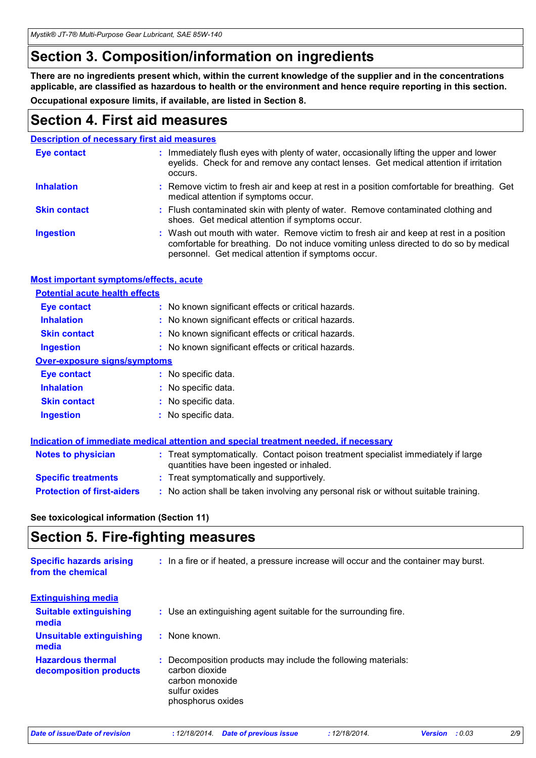*Mystik® JT-7® Multi-Purpose Gear Lubricant, SAE 85W-140*

### **Section 3. Composition/information on ingredients**

**There are no ingredients present which, within the current knowledge of the supplier and in the concentrations applicable, are classified as hazardous to health or the environment and hence require reporting in this section.**

**Occupational exposure limits, if available, are listed in Section 8.**

### **Section 4. First aid measures**

|                     | <b>Description of necessary first aid measures</b>                                                                                                                                                                                     |
|---------------------|----------------------------------------------------------------------------------------------------------------------------------------------------------------------------------------------------------------------------------------|
| <b>Eye contact</b>  | : Immediately flush eyes with plenty of water, occasionally lifting the upper and lower<br>eyelids. Check for and remove any contact lenses. Get medical attention if irritation<br>occurs.                                            |
| <b>Inhalation</b>   | : Remove victim to fresh air and keep at rest in a position comfortable for breathing. Get<br>medical attention if symptoms occur.                                                                                                     |
| <b>Skin contact</b> | : Flush contaminated skin with plenty of water. Remove contaminated clothing and<br>shoes. Get medical attention if symptoms occur.                                                                                                    |
| <b>Ingestion</b>    | : Wash out mouth with water. Remove victim to fresh air and keep at rest in a position<br>comfortable for breathing. Do not induce vomiting unless directed to do so by medical<br>personnel. Get medical attention if symptoms occur. |

#### **Most important symptoms/effects, acute**

#### **Potential acute health effects**

| <b>Eye contact</b>           | : No known significant effects or critical hazards. |  |
|------------------------------|-----------------------------------------------------|--|
| <b>Inhalation</b>            | : No known significant effects or critical hazards. |  |
| <b>Skin contact</b>          | : No known significant effects or critical hazards. |  |
| <b>Ingestion</b>             | : No known significant effects or critical hazards. |  |
| Over-exposure signs/symptoms |                                                     |  |
| Eye contact                  | : No specific data.                                 |  |
| <b>Inhalation</b>            | : No specific data.                                 |  |
| <b>Skin contact</b>          | : No specific data.                                 |  |
| <b>Ingestion</b>             | : No specific data.                                 |  |

|                                   | Indication of immediate medical attention and special treatment needed, if necessary                                           |  |
|-----------------------------------|--------------------------------------------------------------------------------------------------------------------------------|--|
| <b>Notes to physician</b>         | : Treat symptomatically. Contact poison treatment specialist immediately if large<br>quantities have been ingested or inhaled. |  |
| <b>Specific treatments</b>        | : Treat symptomatically and supportively.                                                                                      |  |
| <b>Protection of first-aiders</b> | : No action shall be taken involving any personal risk or without suitable training.                                           |  |

**See toxicological information (Section 11)**

### **Section 5. Fire-fighting measures**

| <b>Specific hazards arising</b><br>from the chemical | : In a fire or if heated, a pressure increase will occur and the container may burst.                                                  |
|------------------------------------------------------|----------------------------------------------------------------------------------------------------------------------------------------|
| <b>Extinguishing media</b>                           |                                                                                                                                        |
| <b>Suitable extinguishing</b><br>media               | : Use an extinguishing agent suitable for the surrounding fire.                                                                        |
| <b>Unsuitable extinguishing</b><br>media             | : None known.                                                                                                                          |
| <b>Hazardous thermal</b><br>decomposition products   | Decomposition products may include the following materials:<br>carbon dioxide<br>carbon monoxide<br>sulfur oxides<br>phosphorus oxides |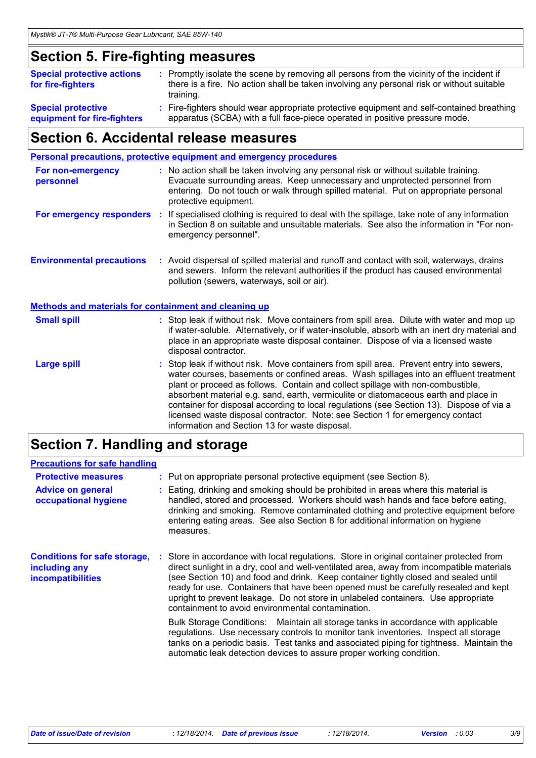### **Section 5. Fire-fighting measures**

| <b>Special protective actions</b><br>for fire-fighters   | : Promptly isolate the scene by removing all persons from the vicinity of the incident if<br>there is a fire. No action shall be taken involving any personal risk or without suitable<br>training. |
|----------------------------------------------------------|-----------------------------------------------------------------------------------------------------------------------------------------------------------------------------------------------------|
| <b>Special protective</b><br>equipment for fire-fighters | : Fire-fighters should wear appropriate protective equipment and self-contained breathing<br>apparatus (SCBA) with a full face-piece operated in positive pressure mode.                            |

### **Section 6. Accidental release measures**

| <b>Personal precautions, protective equipment and emergency procedures</b> |  |                                                                                                                                                                                                                                                                                                                                                                                                                                                                                                                                                                                            |  |
|----------------------------------------------------------------------------|--|--------------------------------------------------------------------------------------------------------------------------------------------------------------------------------------------------------------------------------------------------------------------------------------------------------------------------------------------------------------------------------------------------------------------------------------------------------------------------------------------------------------------------------------------------------------------------------------------|--|
| For non-emergency<br>personnel                                             |  | : No action shall be taken involving any personal risk or without suitable training.<br>Evacuate surrounding areas. Keep unnecessary and unprotected personnel from<br>entering. Do not touch or walk through spilled material. Put on appropriate personal<br>protective equipment.                                                                                                                                                                                                                                                                                                       |  |
| For emergency responders :                                                 |  | If specialised clothing is required to deal with the spillage, take note of any information<br>in Section 8 on suitable and unsuitable materials. See also the information in "For non-<br>emergency personnel".                                                                                                                                                                                                                                                                                                                                                                           |  |
| <b>Environmental precautions</b>                                           |  | : Avoid dispersal of spilled material and runoff and contact with soil, waterways, drains<br>and sewers. Inform the relevant authorities if the product has caused environmental<br>pollution (sewers, waterways, soil or air).                                                                                                                                                                                                                                                                                                                                                            |  |
| <b>Methods and materials for containment and cleaning up</b>               |  |                                                                                                                                                                                                                                                                                                                                                                                                                                                                                                                                                                                            |  |
| <b>Small spill</b>                                                         |  | : Stop leak if without risk. Move containers from spill area. Dilute with water and mop up<br>if water-soluble. Alternatively, or if water-insoluble, absorb with an inert dry material and<br>place in an appropriate waste disposal container. Dispose of via a licensed waste<br>disposal contractor.                                                                                                                                                                                                                                                                                   |  |
| <b>Large spill</b>                                                         |  | : Stop leak if without risk. Move containers from spill area. Prevent entry into sewers,<br>water courses, basements or confined areas. Wash spillages into an effluent treatment<br>plant or proceed as follows. Contain and collect spillage with non-combustible,<br>absorbent material e.g. sand, earth, vermiculite or diatomaceous earth and place in<br>container for disposal according to local regulations (see Section 13). Dispose of via a<br>licensed waste disposal contractor. Note: see Section 1 for emergency contact<br>information and Section 13 for waste disposal. |  |

### **Section 7. Handling and storage**

### **Precautions for safe handling**

| <b>Protective measures</b><br><b>Advice on general</b><br>occupational hygiene   | : Put on appropriate personal protective equipment (see Section 8).<br>: Eating, drinking and smoking should be prohibited in areas where this material is<br>handled, stored and processed. Workers should wash hands and face before eating,<br>drinking and smoking. Remove contaminated clothing and protective equipment before<br>entering eating areas. See also Section 8 for additional information on hygiene<br>measures.                                                                                                                                                                                                                                                                                                                                                                                                                        |
|----------------------------------------------------------------------------------|-------------------------------------------------------------------------------------------------------------------------------------------------------------------------------------------------------------------------------------------------------------------------------------------------------------------------------------------------------------------------------------------------------------------------------------------------------------------------------------------------------------------------------------------------------------------------------------------------------------------------------------------------------------------------------------------------------------------------------------------------------------------------------------------------------------------------------------------------------------|
| <b>Conditions for safe storage,</b><br>including any<br><b>incompatibilities</b> | Store in accordance with local regulations. Store in original container protected from<br>direct sunlight in a dry, cool and well-ventilated area, away from incompatible materials<br>(see Section 10) and food and drink. Keep container tightly closed and sealed until<br>ready for use. Containers that have been opened must be carefully resealed and kept<br>upright to prevent leakage. Do not store in unlabeled containers. Use appropriate<br>containment to avoid environmental contamination.<br>Bulk Storage Conditions: Maintain all storage tanks in accordance with applicable<br>regulations. Use necessary controls to monitor tank inventories. Inspect all storage<br>tanks on a periodic basis. Test tanks and associated piping for tightness. Maintain the<br>automatic leak detection devices to assure proper working condition. |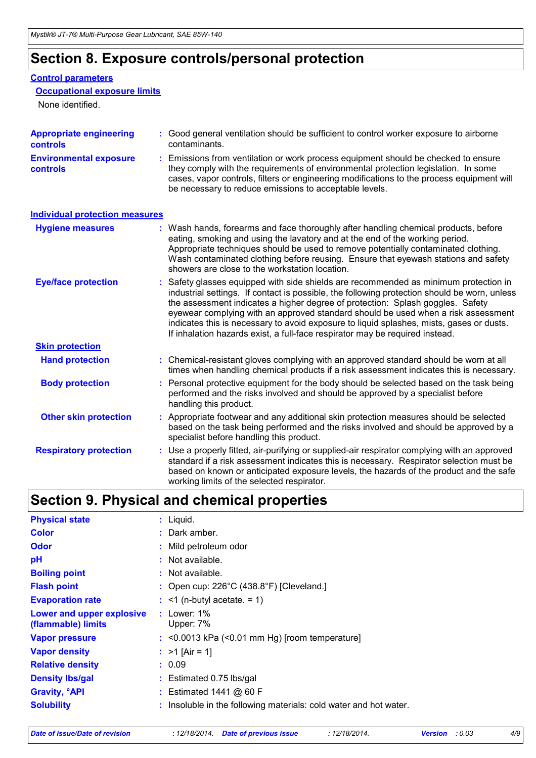### **Section 8. Exposure controls/personal protection**

#### **Control parameters**

#### **Occupational exposure limits**

None identified.

| <b>Appropriate engineering</b><br><b>controls</b> | Good general ventilation should be sufficient to control worker exposure to airborne<br>contaminants.                                                                                                                                                                                                                                                                                                                                                                                                                                   |
|---------------------------------------------------|-----------------------------------------------------------------------------------------------------------------------------------------------------------------------------------------------------------------------------------------------------------------------------------------------------------------------------------------------------------------------------------------------------------------------------------------------------------------------------------------------------------------------------------------|
| <b>Environmental exposure</b><br><b>controls</b>  | : Emissions from ventilation or work process equipment should be checked to ensure<br>they comply with the requirements of environmental protection legislation. In some<br>cases, vapor controls, filters or engineering modifications to the process equipment will<br>be necessary to reduce emissions to acceptable levels.                                                                                                                                                                                                         |
| <b>Individual protection measures</b>             |                                                                                                                                                                                                                                                                                                                                                                                                                                                                                                                                         |
| <b>Hygiene measures</b>                           | : Wash hands, forearms and face thoroughly after handling chemical products, before<br>eating, smoking and using the lavatory and at the end of the working period.<br>Appropriate techniques should be used to remove potentially contaminated clothing.<br>Wash contaminated clothing before reusing. Ensure that eyewash stations and safety<br>showers are close to the workstation location.                                                                                                                                       |
| <b>Eye/face protection</b>                        | : Safety glasses equipped with side shields are recommended as minimum protection in<br>industrial settings. If contact is possible, the following protection should be worn, unless<br>the assessment indicates a higher degree of protection: Splash goggles. Safety<br>eyewear complying with an approved standard should be used when a risk assessment<br>indicates this is necessary to avoid exposure to liquid splashes, mists, gases or dusts.<br>If inhalation hazards exist, a full-face respirator may be required instead. |
| <b>Skin protection</b>                            |                                                                                                                                                                                                                                                                                                                                                                                                                                                                                                                                         |
| <b>Hand protection</b>                            | : Chemical-resistant gloves complying with an approved standard should be worn at all<br>times when handling chemical products if a risk assessment indicates this is necessary.                                                                                                                                                                                                                                                                                                                                                        |
| <b>Body protection</b>                            | : Personal protective equipment for the body should be selected based on the task being<br>performed and the risks involved and should be approved by a specialist before<br>handling this product.                                                                                                                                                                                                                                                                                                                                     |
| <b>Other skin protection</b>                      | : Appropriate footwear and any additional skin protection measures should be selected<br>based on the task being performed and the risks involved and should be approved by a<br>specialist before handling this product.                                                                                                                                                                                                                                                                                                               |

Use a properly fitted, air-purifying or supplied-air respirator complying with an approved standard if a risk assessment indicates this is necessary. Respirator selection must be based on known or anticipated exposure levels, the hazards of the product and the safe working limits of the selected respirator. **Respiratory protection :**

### **Section 9. Physical and chemical properties**

| <b>Physical state</b>                           | $:$ Liquid.                                                       |
|-------------------------------------------------|-------------------------------------------------------------------|
| <b>Color</b>                                    | : Dark amber.                                                     |
| <b>Odor</b>                                     | : Mild petroleum odor                                             |
| рH                                              | : Not available.                                                  |
| <b>Boiling point</b>                            | : Not available.                                                  |
| <b>Flash point</b>                              | : Open cup: $226^{\circ}$ C (438.8°F) [Cleveland.]                |
| <b>Evaporation rate</b>                         | $:$ <1 (n-butyl acetate. = 1)                                     |
| Lower and upper explosive<br>(flammable) limits | : Lower: $1\%$<br>Upper: 7%                                       |
| <b>Vapor pressure</b>                           | $:$ <0.0013 kPa (<0.01 mm Hg) [room temperature]                  |
| <b>Vapor density</b>                            | : $>1$ [Air = 1]                                                  |
| <b>Relative density</b>                         | : 0.09                                                            |
| <b>Density Ibs/gal</b>                          | $:$ Estimated 0.75 lbs/gal                                        |
| <b>Gravity, <sup>o</sup>API</b>                 | : Estimated 1441 @ 60 F                                           |
| <b>Solubility</b>                               | : Insoluble in the following materials: cold water and hot water. |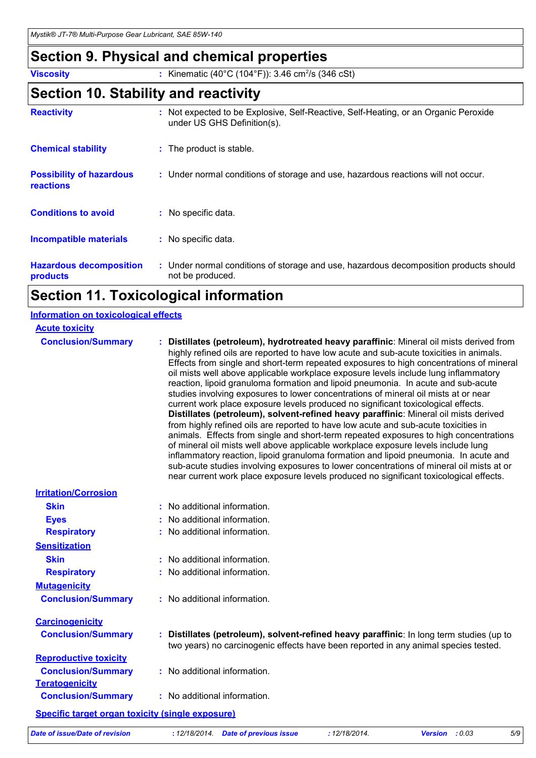### **Section 9. Physical and chemical properties**

**Viscosity** : Kinematic (40°C (104°F)): 3.46 cm<sup>2</sup>/s (346 cSt)

### **Section 10. Stability and reactivity**

| <b>Reactivity</b>                                   | : Not expected to be Explosive, Self-Reactive, Self-Heating, or an Organic Peroxide<br>under US GHS Definition(s). |
|-----------------------------------------------------|--------------------------------------------------------------------------------------------------------------------|
| <b>Chemical stability</b>                           | : The product is stable.                                                                                           |
| <b>Possibility of hazardous</b><br><b>reactions</b> | : Under normal conditions of storage and use, hazardous reactions will not occur.                                  |
| <b>Conditions to avoid</b>                          | : No specific data.                                                                                                |
| <b>Incompatible materials</b>                       | : No specific data.                                                                                                |
| <b>Hazardous decomposition</b><br>products          | : Under normal conditions of storage and use, hazardous decomposition products should<br>not be produced.          |

### **Section 11. Toxicological information**

| <b>Information on toxicological effects</b>             |                                                                                                                                                                                                                                                                                                                                                                                                                                                                                                                                                                                                                                                                                                                                                                                                                                                                                                                                                                                                                                                                                                                                                                                                                                                                                   |
|---------------------------------------------------------|-----------------------------------------------------------------------------------------------------------------------------------------------------------------------------------------------------------------------------------------------------------------------------------------------------------------------------------------------------------------------------------------------------------------------------------------------------------------------------------------------------------------------------------------------------------------------------------------------------------------------------------------------------------------------------------------------------------------------------------------------------------------------------------------------------------------------------------------------------------------------------------------------------------------------------------------------------------------------------------------------------------------------------------------------------------------------------------------------------------------------------------------------------------------------------------------------------------------------------------------------------------------------------------|
| <b>Acute toxicity</b>                                   |                                                                                                                                                                                                                                                                                                                                                                                                                                                                                                                                                                                                                                                                                                                                                                                                                                                                                                                                                                                                                                                                                                                                                                                                                                                                                   |
| <b>Conclusion/Summary</b>                               | : Distillates (petroleum), hydrotreated heavy paraffinic: Mineral oil mists derived from<br>highly refined oils are reported to have low acute and sub-acute toxicities in animals.<br>Effects from single and short-term repeated exposures to high concentrations of mineral<br>oil mists well above applicable workplace exposure levels include lung inflammatory<br>reaction, lipoid granuloma formation and lipoid pneumonia. In acute and sub-acute<br>studies involving exposures to lower concentrations of mineral oil mists at or near<br>current work place exposure levels produced no significant toxicological effects.<br>Distillates (petroleum), solvent-refined heavy paraffinic: Mineral oil mists derived<br>from highly refined oils are reported to have low acute and sub-acute toxicities in<br>animals. Effects from single and short-term repeated exposures to high concentrations<br>of mineral oil mists well above applicable workplace exposure levels include lung<br>inflammatory reaction, lipoid granuloma formation and lipoid pneumonia. In acute and<br>sub-acute studies involving exposures to lower concentrations of mineral oil mists at or<br>near current work place exposure levels produced no significant toxicological effects. |
| <b>Irritation/Corrosion</b>                             |                                                                                                                                                                                                                                                                                                                                                                                                                                                                                                                                                                                                                                                                                                                                                                                                                                                                                                                                                                                                                                                                                                                                                                                                                                                                                   |
| <b>Skin</b>                                             | : No additional information.                                                                                                                                                                                                                                                                                                                                                                                                                                                                                                                                                                                                                                                                                                                                                                                                                                                                                                                                                                                                                                                                                                                                                                                                                                                      |
| <b>Eyes</b>                                             | : No additional information.                                                                                                                                                                                                                                                                                                                                                                                                                                                                                                                                                                                                                                                                                                                                                                                                                                                                                                                                                                                                                                                                                                                                                                                                                                                      |
| <b>Respiratory</b>                                      | : No additional information.                                                                                                                                                                                                                                                                                                                                                                                                                                                                                                                                                                                                                                                                                                                                                                                                                                                                                                                                                                                                                                                                                                                                                                                                                                                      |
| <b>Sensitization</b>                                    |                                                                                                                                                                                                                                                                                                                                                                                                                                                                                                                                                                                                                                                                                                                                                                                                                                                                                                                                                                                                                                                                                                                                                                                                                                                                                   |
| <b>Skin</b>                                             | : No additional information.                                                                                                                                                                                                                                                                                                                                                                                                                                                                                                                                                                                                                                                                                                                                                                                                                                                                                                                                                                                                                                                                                                                                                                                                                                                      |
| <b>Respiratory</b>                                      | : No additional information.                                                                                                                                                                                                                                                                                                                                                                                                                                                                                                                                                                                                                                                                                                                                                                                                                                                                                                                                                                                                                                                                                                                                                                                                                                                      |
| <b>Mutagenicity</b>                                     |                                                                                                                                                                                                                                                                                                                                                                                                                                                                                                                                                                                                                                                                                                                                                                                                                                                                                                                                                                                                                                                                                                                                                                                                                                                                                   |
| <b>Conclusion/Summary</b>                               | : No additional information.                                                                                                                                                                                                                                                                                                                                                                                                                                                                                                                                                                                                                                                                                                                                                                                                                                                                                                                                                                                                                                                                                                                                                                                                                                                      |
| <b>Carcinogenicity</b>                                  |                                                                                                                                                                                                                                                                                                                                                                                                                                                                                                                                                                                                                                                                                                                                                                                                                                                                                                                                                                                                                                                                                                                                                                                                                                                                                   |
| <b>Conclusion/Summary</b>                               | : Distillates (petroleum), solvent-refined heavy paraffinic: In long term studies (up to<br>two years) no carcinogenic effects have been reported in any animal species tested.                                                                                                                                                                                                                                                                                                                                                                                                                                                                                                                                                                                                                                                                                                                                                                                                                                                                                                                                                                                                                                                                                                   |
| <b>Reproductive toxicity</b>                            |                                                                                                                                                                                                                                                                                                                                                                                                                                                                                                                                                                                                                                                                                                                                                                                                                                                                                                                                                                                                                                                                                                                                                                                                                                                                                   |
| <b>Conclusion/Summary</b>                               | : No additional information.                                                                                                                                                                                                                                                                                                                                                                                                                                                                                                                                                                                                                                                                                                                                                                                                                                                                                                                                                                                                                                                                                                                                                                                                                                                      |
| <b>Teratogenicity</b>                                   |                                                                                                                                                                                                                                                                                                                                                                                                                                                                                                                                                                                                                                                                                                                                                                                                                                                                                                                                                                                                                                                                                                                                                                                                                                                                                   |
| <b>Conclusion/Summary</b>                               | : No additional information.                                                                                                                                                                                                                                                                                                                                                                                                                                                                                                                                                                                                                                                                                                                                                                                                                                                                                                                                                                                                                                                                                                                                                                                                                                                      |
| <b>Specific target organ toxicity (single exposure)</b> |                                                                                                                                                                                                                                                                                                                                                                                                                                                                                                                                                                                                                                                                                                                                                                                                                                                                                                                                                                                                                                                                                                                                                                                                                                                                                   |
| <b>Date of issue/Date of revision</b>                   | : 12/18/2014. Date of previous issue<br>: 12/18/2014.<br>5/9<br><b>Version</b><br>: 0.03                                                                                                                                                                                                                                                                                                                                                                                                                                                                                                                                                                                                                                                                                                                                                                                                                                                                                                                                                                                                                                                                                                                                                                                          |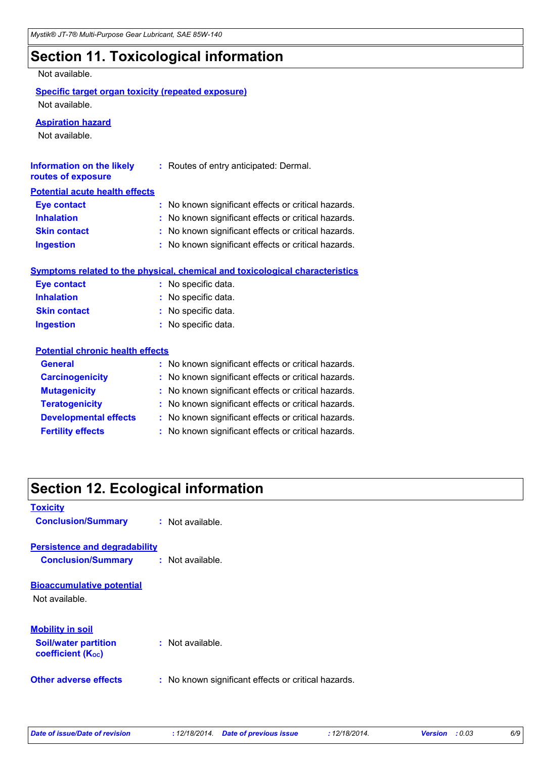## **Section 11. Toxicological information**

Not available.

#### **Specific target organ toxicity (repeated exposure)**

Not available.

#### **Aspiration hazard**

Not available.

| <b>Information on the likely</b><br>routes of exposure | : Routes of entry anticipated: Dermal.                                              |
|--------------------------------------------------------|-------------------------------------------------------------------------------------|
| <b>Potential acute health effects</b>                  |                                                                                     |
| <b>Eye contact</b>                                     | : No known significant effects or critical hazards.                                 |
| <b>Inhalation</b>                                      | No known significant effects or critical hazards.                                   |
| <b>Skin contact</b>                                    | No known significant effects or critical hazards.                                   |
| <b>Ingestion</b>                                       | : No known significant effects or critical hazards.                                 |
|                                                        | <b>Symptoms related to the physical, chemical and toxicological characteristics</b> |
| <b>Eye contact</b>                                     | : No specific data.                                                                 |
| <b>Inhalation</b>                                      | : No specific data.                                                                 |
| <b>Skin contact</b>                                    | : No specific data.                                                                 |
| <b>Ingestion</b>                                       | : No specific data.                                                                 |
| <b>Potential chronic health effects</b>                |                                                                                     |
| <b>General</b>                                         | : No known significant effects or critical hazards.                                 |
| <b>Carcinogenicity</b>                                 | : No known significant effects or critical hazards.                                 |
| <b>Mutagenicity</b>                                    | No known significant effects or critical hazards.                                   |
| <b>Teratogenicity</b>                                  | No known significant effects or critical hazards.                                   |
| <b>Developmental effects</b>                           | : No known significant effects or critical hazards.                                 |
| <b>Fertility effects</b>                               | : No known significant effects or critical hazards.                                 |

### **Section 12. Ecological information**

| <b>Toxicity</b>                                         |                                                     |
|---------------------------------------------------------|-----------------------------------------------------|
| <b>Conclusion/Summary</b>                               | : Not available.                                    |
| <b>Persistence and degradability</b>                    |                                                     |
| <b>Conclusion/Summary</b>                               | : Not available.                                    |
| <b>Bioaccumulative potential</b>                        |                                                     |
| Not available.                                          |                                                     |
| <b>Mobility in soil</b>                                 |                                                     |
| <b>Soil/water partition</b><br><b>coefficient (Koc)</b> | $:$ Not available.                                  |
| <b>Other adverse effects</b>                            | : No known significant effects or critical hazards. |

*Date of issue/Date of revision* **:** *12/18/2014. Date of previous issue : 12/18/2014. Version : 0.03 6/9*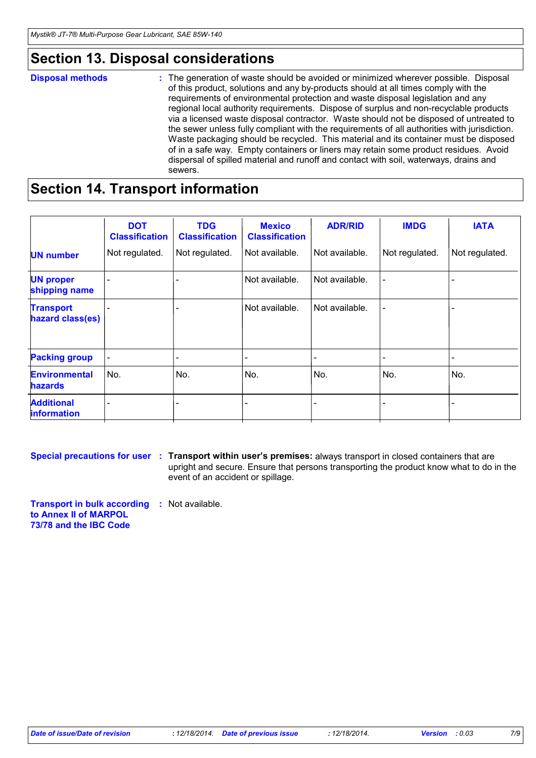### **Section 13. Disposal considerations**

#### The generation of waste should be avoided or minimized wherever possible. Disposal of this product, solutions and any by-products should at all times comply with the requirements of environmental protection and waste disposal legislation and any regional local authority requirements. Dispose of surplus and non-recyclable products via a licensed waste disposal contractor. Waste should not be disposed of untreated to the sewer unless fully compliant with the requirements of all authorities with jurisdiction. Waste packaging should be recycled. This material and its container must be disposed of in a safe way. Empty containers or liners may retain some product residues. Avoid dispersal of spilled material and runoff and contact with soil, waterways, drains and sewers. **Disposal methods :**

### **Section 14. Transport information**

|                                         | <b>DOT</b><br><b>Classification</b> | <b>TDG</b><br><b>Classification</b> | <b>Mexico</b><br><b>Classification</b> | <b>ADR/RID</b> | <b>IMDG</b>    | <b>IATA</b>    |
|-----------------------------------------|-------------------------------------|-------------------------------------|----------------------------------------|----------------|----------------|----------------|
| <b>UN number</b>                        | Not regulated.                      | Not regulated.                      | Not available.                         | Not available. | Not regulated. | Not regulated. |
| <b>UN proper</b><br>shipping name       |                                     |                                     | Not available.                         | Not available. |                |                |
| <b>Transport</b><br>hazard class(es)    |                                     |                                     | Not available.                         | Not available. |                |                |
| <b>Packing group</b>                    |                                     |                                     |                                        |                |                |                |
| <b>Environmental</b><br><b>hazards</b>  | ∣No.                                | No.                                 | No.                                    | No.            | No.            | No.            |
| <b>Additional</b><br><b>information</b> |                                     |                                     |                                        |                |                |                |
|                                         |                                     |                                     |                                        |                |                |                |

**Special precautions for user Transport within user's premises:** always transport in closed containers that are **:** upright and secure. Ensure that persons transporting the product know what to do in the event of an accident or spillage.

**Transport in bulk according :** Not available. **to Annex II of MARPOL 73/78 and the IBC Code**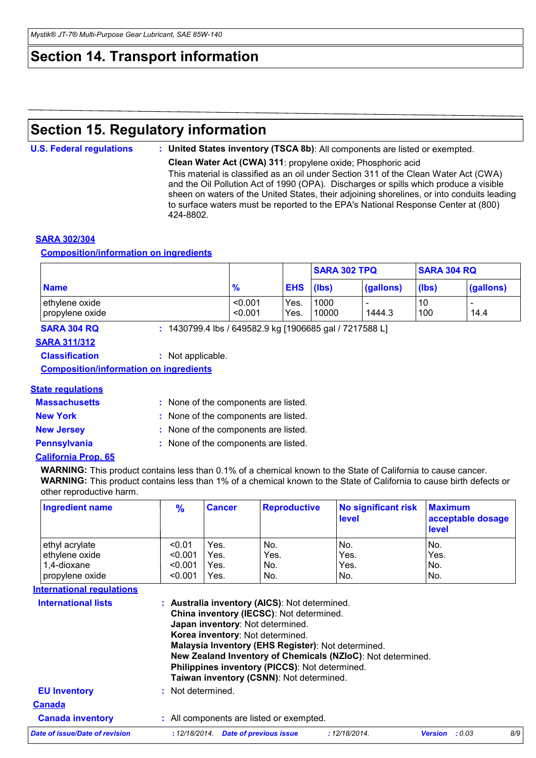### **Section 14. Transport information**

### **Section 15. Regulatory information**

**U.S. Federal regulations : United States inventory (TSCA 8b)**: All components are listed or exempted.

**Clean Water Act (CWA) 311**: propylene oxide; Phosphoric acid This material is classified as an oil under Section 311 of the Clean Water Act (CWA) and the Oil Pollution Act of 1990 (OPA). Discharges or spills which produce a visible sheen on waters of the United States, their adjoining shorelines, or into conduits leading to surface waters must be reported to the EPA's National Response Center at (800) 424-8802.

#### **SARA 302/304**

#### **Composition/information on ingredients**

|                                   |                    |              | <b>SARA 302 TPQ</b> |           | <b>SARA 304 RQ</b> |                                  |  |
|-----------------------------------|--------------------|--------------|---------------------|-----------|--------------------|----------------------------------|--|
| <b>Name</b>                       | 70                 | <b>EHS</b>   | (lbs)               | (gallons) | (lbs)              | (gallons)                        |  |
| ethylene oxide<br>propylene oxide | < 0.001<br>< 0.001 | Yes.<br>Yes. | 1000<br>10000       | 1444.3    | 10<br>100          | $\overline{\phantom{0}}$<br>14.4 |  |

**SARA 304 RQ :** 1430799.4 lbs / 649582.9 kg [1906685 gal / 7217588 L]

#### **SARA 311/312**

**Classification :** Not applicable.

**Composition/information on ingredients**

#### **State regulations**

| <b>Massachusetts</b> | : None of the components are listed. |
|----------------------|--------------------------------------|
| <b>New York</b>      | : None of the components are listed. |
| <b>New Jersey</b>    | : None of the components are listed. |
| <b>Pennsylvania</b>  | : None of the components are listed. |

#### **California Prop. 65**

**WARNING:** This product contains less than 0.1% of a chemical known to the State of California to cause cancer. **WARNING:** This product contains less than 1% of a chemical known to the State of California to cause birth defects or other reproductive harm.

| Ingredient name | $\frac{9}{6}$ | ∣Cancer | <b>Reproductive</b> | No significant risk<br><b>level</b> | <b>Maximum</b><br>acceptable dosage<br><b>level</b> |
|-----------------|---------------|---------|---------------------|-------------------------------------|-----------------------------------------------------|
| ethyl acrylate  | < 0.01        | Yes.    | No.                 | No.                                 | No.                                                 |
| ethylene oxide  | < 0.001       | Yes.    | Yes.                | Yes.                                | Yes.                                                |
| 1,4-dioxane     | < 0.001       | Yes.    | No.                 | Yes.                                | No.                                                 |
| propylene oxide | < 0.001       | Yes.    | No.                 | IN <sub>o</sub>                     | No.                                                 |

#### **International regulations**

| <b>International lists</b>     | : Australia inventory (AICS): Not determined.<br>China inventory (IECSC): Not determined.<br>Japan inventory: Not determined.<br>Korea inventory: Not determined.<br>Malaysia Inventory (EHS Register): Not determined.<br>New Zealand Inventory of Chemicals (NZIoC): Not determined.<br>Philippines inventory (PICCS): Not determined.<br>Taiwan inventory (CSNN): Not determined. |               |                       |     |  |  |  |  |
|--------------------------------|--------------------------------------------------------------------------------------------------------------------------------------------------------------------------------------------------------------------------------------------------------------------------------------------------------------------------------------------------------------------------------------|---------------|-----------------------|-----|--|--|--|--|
| <b>EU Inventory</b>            | : Not determined.                                                                                                                                                                                                                                                                                                                                                                    |               |                       |     |  |  |  |  |
| <b>Canada</b>                  |                                                                                                                                                                                                                                                                                                                                                                                      |               |                       |     |  |  |  |  |
| <b>Canada inventory</b>        | : All components are listed or exempted.                                                                                                                                                                                                                                                                                                                                             |               |                       |     |  |  |  |  |
| Date of issue/Date of revision | : 12/18/2014. Date of previous issue                                                                                                                                                                                                                                                                                                                                                 | : 12/18/2014. | <b>Version</b> : 0.03 | 8/9 |  |  |  |  |